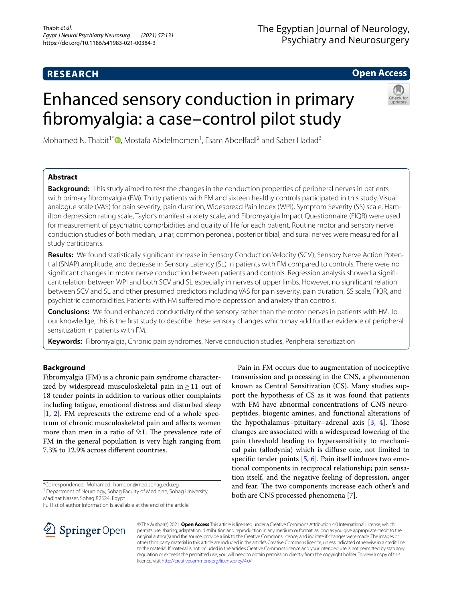# **RESEARCH**

# The Egyptian Journal of Neurology, Psychiatry and Neurosurgery

# **Open Access**

# Enhanced sensory conduction in primary fbromyalgia: a case–control pilot study



Mohamed N. Thabit<sup>1\*</sup><sup>®</sup>[,](http://orcid.org/0000-0002-1588-8968) Mostafa Abdelmomen<sup>1</sup>, Esam Aboelfadl<sup>2</sup> and Saber Hadad<sup>3</sup>

# **Abstract**

**Background:** This study aimed to test the changes in the conduction properties of peripheral nerves in patients with primary fbromyalgia (FM). Thirty patients with FM and sixteen healthy controls participated in this study. Visual analogue scale (VAS) for pain severity, pain duration, Widespread Pain Index (WPI), Symptom Severity (SS) scale, Hamilton depression rating scale, Taylor's manifest anxiety scale, and Fibromyalgia Impact Questionnaire (FIQR) were used for measurement of psychiatric comorbidities and quality of life for each patient. Routine motor and sensory nerve conduction studies of both median, ulnar, common peroneal, posterior tibial, and sural nerves were measured for all study participants.

**Results:** We found statistically signifcant increase in Sensory Conduction Velocity (SCV), Sensory Nerve Action Potential (SNAP) amplitude, and decrease in Sensory Latency (SL) in patients with FM compared to controls. There were no signifcant changes in motor nerve conduction between patients and controls. Regression analysis showed a signifcant relation between WPI and both SCV and SL especially in nerves of upper limbs. However, no signifcant relation between SCV and SL and other presumed predictors including VAS for pain severity, pain duration, SS scale, FIQR, and psychiatric comorbidities. Patients with FM sufered more depression and anxiety than controls.

**Conclusions:** We found enhanced conductivity of the sensory rather than the motor nerves in patients with FM. To our knowledge, this is the frst study to describe these sensory changes which may add further evidence of peripheral sensitization in patients with FM.

**Keywords:** Fibromyalgia, Chronic pain syndromes, Nerve conduction studies, Peripheral sensitization

# **Background**

Fibromyalgia (FM) is a chronic pain syndrome characterized by widespread musculoskeletal pain in≥11 out of 18 tender points in addition to various other complaints including fatigue, emotional distress and disturbed sleep [[1,](#page-5-0) [2\]](#page-5-1). FM represents the extreme end of a whole spectrum of chronic musculoskeletal pain and afects women more than men in a ratio of 9:1. The prevalence rate of FM in the general population is very high ranging from 7.3% to 12.9% across diferent countries.

\*Correspondence: Mohamed\_hamdon@med.sohag.edu.eg

<sup>1</sup> Department of Neurology, Sohag Faculty of Medicine, Sohag University, Madinat Nasser, Sohag 82524, Egypt

Full list of author information is available at the end of the article



transmission and processing in the CNS, a phenomenon known as Central Sensitization (CS). Many studies support the hypothesis of CS as it was found that patients with FM have abnormal concentrations of CNS neuropeptides, biogenic amines, and functional alterations of the hypothalamus–pituitary–adrenal axis  $[3, 4]$  $[3, 4]$  $[3, 4]$ . Those changes are associated with a widespread lowering of the pain threshold leading to hypersensitivity to mechanical pain (allodynia) which is difuse one, not limited to specifc tender points [\[5,](#page-5-4) [6\]](#page-5-5). Pain itself induces two emotional components in reciprocal relationship; pain sensation itself, and the negative feeling of depression, anger and fear. The two components increase each other's and both are CNS processed phenomena [[7\]](#page-5-6).

Pain in FM occurs due to augmentation of nociceptive

© The Author(s) 2021. **Open Access** This article is licensed under a Creative Commons Attribution 4.0 International License, which permits use, sharing, adaptation, distribution and reproduction in any medium or format, as long as you give appropriate credit to the original author(s) and the source, provide a link to the Creative Commons licence, and indicate if changes were made. The images or other third party material in this article are included in the article's Creative Commons licence, unless indicated otherwise in a credit line to the material. If material is not included in the article's Creative Commons licence and your intended use is not permitted by statutory regulation or exceeds the permitted use, you will need to obtain permission directly from the copyright holder. To view a copy of this licence, visit [http://creativecommons.org/licenses/by/4.0/.](http://creativecommons.org/licenses/by/4.0/)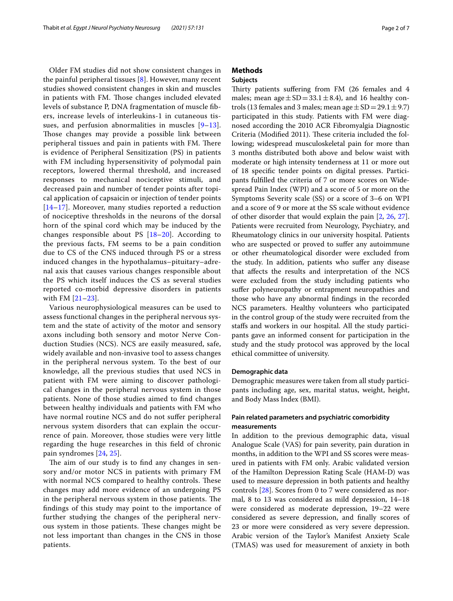Older FM studies did not show consistent changes in the painful peripheral tissues  $[8]$  $[8]$  $[8]$ . However, many recent studies showed consistent changes in skin and muscles in patients with FM. Those changes included elevated levels of substance P, DNA fragmentation of muscle fbers, increase levels of interleukins-1 in cutaneous tissues, and perfusion abnormalities in muscles [[9–](#page-5-8)[13\]](#page-6-0). Those changes may provide a possible link between peripheral tissues and pain in patients with FM. There is evidence of Peripheral Sensitization (PS) in patients with FM including hypersensitivity of polymodal pain receptors, lowered thermal threshold, and increased responses to mechanical nociceptive stimuli, and decreased pain and number of tender points after topical application of capsaicin or injection of tender points [[14](#page-6-1)[–17](#page-6-2)]. Moreover, many studies reported a reduction of nociceptive thresholds in the neurons of the dorsal horn of the spinal cord which may be induced by the changes responsible about PS  $[18-20]$  $[18-20]$ . According to the previous facts, FM seems to be a pain condition due to CS of the CNS induced through PS or a stress induced changes in the hypothalamus–pituitary–adrenal axis that causes various changes responsible about the PS which itself induces the CS as several studies reported co-morbid depressive disorders in patients with FM [\[21](#page-6-5)[–23\]](#page-6-6).

Various neurophysiological measures can be used to assess functional changes in the peripheral nervous system and the state of activity of the motor and sensory axons including both sensory and motor Nerve Conduction Studies (NCS). NCS are easily measured, safe, widely available and non-invasive tool to assess changes in the peripheral nervous system. To the best of our knowledge, all the previous studies that used NCS in patient with FM were aiming to discover pathological changes in the peripheral nervous system in those patients. None of those studies aimed to fnd changes between healthy individuals and patients with FM who have normal routine NCS and do not sufer peripheral nervous system disorders that can explain the occurrence of pain. Moreover, those studies were very little regarding the huge researches in this feld of chronic pain syndromes [\[24](#page-6-7), [25](#page-6-8)].

The aim of our study is to find any changes in sensory and/or motor NCS in patients with primary FM with normal NCS compared to healthy controls. These changes may add more evidence of an undergoing PS in the peripheral nervous system in those patients. The fndings of this study may point to the importance of further studying the changes of the peripheral nervous system in those patients. These changes might be not less important than changes in the CNS in those patients.

# **Methods**

# **Subjects**

Thirty patients suffering from FM (26 females and 4 males; mean age  $\pm$  SD = 33.1  $\pm$  8.4), and 16 healthy controls (13 females and 3 males; mean age  $\pm$  SD = 29.1  $\pm$  9.7) participated in this study. Patients with FM were diagnosed according the 2010 ACR Fibromyalgia Diagnostic Criteria (Modified 2011). These criteria included the following; widespread musculoskeletal pain for more than 3 months distributed both above and below waist with moderate or high intensity tenderness at 11 or more out of 18 specifc tender points on digital presses. Participants fulflled the criteria of 7 or more scores on Widespread Pain Index (WPI) and a score of 5 or more on the Symptoms Severity scale (SS) or a score of 3–6 on WPI and a score of 9 or more at the SS scale without evidence of other disorder that would explain the pain [\[2,](#page-5-1) [26](#page-6-9), [27](#page-6-10)]. Patients were recruited from Neurology, Psychiatry, and Rheumatology clinics in our university hospital. Patients who are suspected or proved to suffer any autoimmune or other rheumatological disorder were excluded from the study. In addition, patients who sufer any disease that afects the results and interpretation of the NCS were excluded from the study including patients who suffer polyneuropathy or entrapment neuropathies and those who have any abnormal fndings in the recorded NCS parameters. Healthy volunteers who participated in the control group of the study were recruited from the stafs and workers in our hospital. All the study participants gave an informed consent for participation in the study and the study protocol was approved by the local ethical committee of university.

#### **Demographic data**

Demographic measures were taken from all study participants including age, sex, marital status, weight, height, and Body Mass Index (BMI).

## **Pain related parameters and psychiatric comorbidity measurements**

In addition to the previous demographic data, visual Analogue Scale (VAS) for pain severity, pain duration in months, in addition to the WPI and SS scores were measured in patients with FM only. Arabic validated version of the Hamilton Depression Rating Scale (HAM-D) was used to measure depression in both patients and healthy controls [[28\]](#page-6-11). Scores from 0 to 7 were considered as normal, 8 to 13 was considered as mild depression, 14–18 were considered as moderate depression, 19–22 were considered as severe depression, and fnally scores of 23 or more were considered as very severe depression. Arabic version of the Taylor's Manifest Anxiety Scale (TMAS) was used for measurement of anxiety in both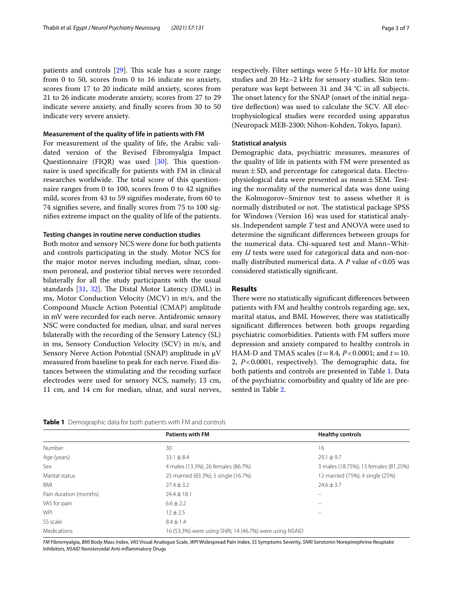patients and controls  $[29]$  $[29]$  $[29]$ . This scale has a score range from 0 to 50, scores from 0 to 16 indicate no anxiety, scores from 17 to 20 indicate mild anxiety, scores from 21 to 26 indicate moderate anxiety, scores from 27 to 29 indicate severe anxiety, and fnally scores from 30 to 50 indicate very severe anxiety.

#### **Measurement of the quality of life in patients with FM**

For measurement of the quality of life, the Arabic validated version of the Revised Fibromyalgia Impact Questionnaire (FIQR) was used  $[30]$  $[30]$  $[30]$ . This questionnaire is used specifcally for patients with FM in clinical researches worldwide. The total score of this questionnaire ranges from 0 to 100, scores from 0 to 42 signifes mild, scores from 43 to 59 signifes moderate, from 60 to 74 signifes severe, and fnally scores from 75 to 100 signifes extreme impact on the quality of life of the patients.

#### **Testing changes in routine nerve conduction studies**

Both motor and sensory NCS were done for both patients and controls participating in the study. Motor NCS for the major motor nerves including median, ulnar, common peroneal, and posterior tibial nerves were recorded bilaterally for all the study participants with the usual standards  $[31, 32]$  $[31, 32]$  $[31, 32]$ . The Distal Motor Latency (DML) in ms, Motor Conduction Velocity (MCV) in m/s, and the Compound Muscle Action Potential (CMAP) amplitude in mV were recorded for each nerve. Antidromic sensory NSC were conducted for median, ulnar, and sural nerves bilaterally with the recording of the Sensory Latency (SL) in ms, Sensory Conduction Velocity (SCV) in m/s, and Sensory Nerve Action Potential (SNAP) amplitude in μV measured from baseline to peak for each nerve. Fixed distances between the stimulating and the recoding surface electrodes were used for sensory NCS, namely; 13 cm, 11 cm, and 14 cm for median, ulnar, and sural nerves, respectively. Filter settings were 5 Hz–10 kHz for motor studies and 20 Hz–2 kHz for sensory studies. Skin temperature was kept between 31 and 34 °C in all subjects. The onset latency for the SNAP (onset of the initial negative defection) was used to calculate the SCV. All electrophysiological studies were recorded using apparatus (Neuropack MEB-2300; Nihon-Kohden, Tokyo, Japan).

#### **Statistical analysis**

Demographic data, psychiatric measures, measures of the quality of life in patients with FM were presented as mean $\pm$ SD, and percentage for categorical data. Electrophysiological data were presented as mean $\pm$ SEM. Testing the normality of the numerical data was done using the Kolmogorov–Smirnov test to assess whether it is normally distributed or not. The statistical package SPSS for Windows (Version 16) was used for statistical analysis. Independent sample *T* test and ANOVA were used to determine the signifcant diferences between groups for the numerical data. Chi-squared test and Mann–Whiteny *U* tests were used for categorical data and non-normally distributed numerical data. A P value of <0.05 was considered statistically signifcant.

# **Results**

There were no statistically significant differences between patients with FM and healthy controls regarding age, sex, marital status, and BMI. However, there was statistically signifcant diferences between both groups regarding psychiatric comorbidities. Patients with FM sufers more depression and anxiety compared to healthy controls in HAM-D and TMAS scales (*t*=8.4, *P*<0.0001; and *t*=10. 2,  $P < 0.0001$ , respectively). The demographic data, for both patients and controls are presented in Table [1](#page-2-0). Data of the psychiatric comorbidity and quality of life are presented in Table [2.](#page-3-0)

<span id="page-2-0"></span>

|                        | <b>Patients with FM</b>                                 | <b>Healthy controls</b>               |
|------------------------|---------------------------------------------------------|---------------------------------------|
| Number                 | 30                                                      | 16                                    |
| Age (years)            | $33.1 \pm 8.4$                                          | $29.1 \pm 9.7$                        |
| Sex                    | 4 males (13.3%); 26 females (86.7%)                     | 3 males (18.75%); 13 females (81.25%) |
| Marital status         | 25 married (83.3%); 5 single (16.7%)                    | 12 married (75%); 4 single (25%)      |
| BMI                    | $27.4 \pm 3.2$                                          | $24.6 \pm 3.7$                        |
| Pain duration (months) | $24.4 \pm 18.1$                                         | -                                     |
| VAS for pain           | $6.6 \pm 2.2$                                           |                                       |
| <b>WPI</b>             | $12 \pm 2.5$                                            |                                       |
| SS scale               | $8.4 \pm 1.4$                                           |                                       |
| Medications            | 16 (53.3%) were using SNRI; 14 (46.7%) were using NSAID |                                       |

*FM* Fibromyalgia, *BMI* Body Mass Index, *VAS* Visual Analogue Scale, *WPI* Widespread Pain Index, *SS* Symptoms Severity, *SNRI* Serotonin Norepinephrine Reuptake Inhibitors, *NSAID* Nonsteroidal Anti-infammatory Drugs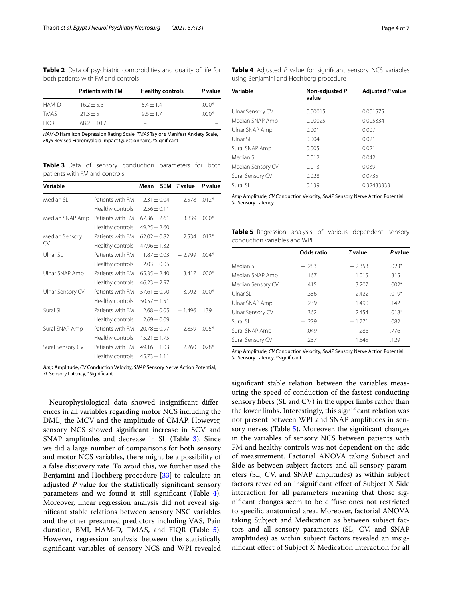<span id="page-3-0"></span>**Table 2** Data of psychiatric comorbidities and quality of life for both patients with FM and controls

|             | <b>Patients with FM</b> | <b>Healthy controls</b> | P value |
|-------------|-------------------------|-------------------------|---------|
| HAM-D       | $16.2 + 5.6$            | $5.4 \pm 1.4$           | $.000*$ |
| <b>TMAS</b> | $21.3 + 5$              | $9.6 \pm 1.7$           | $.000*$ |
| <b>FIOR</b> | $68.2 \pm 10.7$         |                         |         |

*HAM-D* Hamilton Depression Rating Scale, *TMAS* Taylor's Manifest Anxiety Scale, *FIQR* Revised Fibromyalgia Impact Questionnaire, \*Signifcant

<span id="page-3-1"></span>**Table 3** Data of sensory conduction parameters for both patients with FM and controls

| Variable         |                  | $Mean + SEM$     | <b>T</b> value | P value |
|------------------|------------------|------------------|----------------|---------|
| Median SL        | Patients with FM | $2.31 + 0.04$    | $-2.578$       | $.012*$ |
|                  | Healthy controls | $7.56 + 0.11$    |                |         |
| Median SNAP Amp  | Patients with FM | $67.36 + 2.61$   | 3.839          | $.000*$ |
|                  | Healthy controls | $49.25 \pm 2.60$ |                |         |
| Median Sensory   | Patients with FM | $62.02 + 0.82$   | 2.534          | $.013*$ |
| CV               | Healthy controls | $47.96 \pm 1.32$ |                |         |
| Ulnar SL         | Patients with FM | $1.87 + 0.03$    | $-2.999$       | $.004*$ |
|                  | Healthy controls | $2.03 \pm 0.05$  |                |         |
| Ulnar SNAP Amp   | Patients with FM | $65.35 + 2.40$   | 3.417          | $.000*$ |
|                  | Healthy controls | $46.23 \pm 2.97$ |                |         |
| Ulnar Sensory CV | Patients with FM | $57.61 + 0.90$   | 3.992          | $.000*$ |
|                  | Healthy controls | $50.57 \pm 1.51$ |                |         |
| Sural SL         | Patients with FM | $2.68 + 0.05$    | $-1.496$       | .139    |
|                  | Healthy controls | $7.69 + 0.09$    |                |         |
| Sural SNAP Amp   | Patients with FM | $20.78 \pm 0.97$ | 2.859          | $.005*$ |
|                  | Healthy controls | $15.21 \pm 1.75$ |                |         |
| Sural Sensory CV | Patients with FM | $49.16 \pm 1.03$ | 2.260          | $.028*$ |
|                  | Healthy controls | $45.73 \pm 1.11$ |                |         |

*Amp* Amplitude, *CV* Conduction Velocity, *SNAP* Sensory Nerve Action Potential, *SL* Sensory Latency, \*Signifcant

Neurophysiological data showed insignifcant diferences in all variables regarding motor NCS including the DML, the MCV and the amplitude of CMAP. However, sensory NCS showed signifcant increase in SCV and SNAP amplitudes and decrease in SL (Table [3\)](#page-3-1). Since we did a large number of comparisons for both sensory and motor NCS variables, there might be a possibility of a false discovery rate. To avoid this, we further used the Benjamini and Hochberg procedure [\[33\]](#page-6-16) to calculate an adjusted *P* value for the statistically signifcant sensory parameters and we found it still signifcant (Table [4](#page-3-2)). Moreover, linear regression analysis did not reveal signifcant stable relations between sensory NSC variables and the other presumed predictors including VAS, Pain duration, BMI, HAM-D, TMAS, and FIQR (Table [5](#page-3-3)). However, regression analysis between the statistically signifcant variables of sensory NCS and WPI revealed

| Variable          | Non-adjusted P<br>value | <b>Adjusted P value</b> |  |
|-------------------|-------------------------|-------------------------|--|
| Ulnar Sensory CV  | 0.00015                 | 0.001575                |  |
| Median SNAP Amp   | 0.00025                 | 0.005334                |  |
| Ulnar SNAP Amp    | 0.001                   | 0.007                   |  |
| Ulnar SL          | 0.004                   | 0.021                   |  |
| Sural SNAP Amp    | 0.005                   | 0.021                   |  |
| Median SL         | 0.012                   | 0.042                   |  |
| Median Sensory CV | 0.013                   | 0.039                   |  |
| Sural Sensory CV  | 0.028                   | 0.0735                  |  |
| Sural SL          | 0.139                   | 0.32433333              |  |

<span id="page-3-2"></span>using Benjamini and Hochberg procedure

*Amp* Amplitude, *CV* Conduction Velocity, *SNAP* Sensory Nerve Action Potential, *SL* Sensory Latency

<span id="page-3-3"></span>**Table 5** Regression analysis of various dependent sensory conduction variables and WPI

|                   | Odds ratio | <b>T</b> value | P value |
|-------------------|------------|----------------|---------|
| Median SL         | $-.283$    | $-2.353$       | $.023*$ |
| Median SNAP Amp   | .167       | 1.015          | .315    |
| Median Sensory CV | .415       | 3.207          | $.002*$ |
| Ulnar SL          | $-.386$    | $-2.422$       | $.019*$ |
| Ulnar SNAP Amp    | .239       | 1.490          | .142    |
| Ulnar Sensory CV  | .362       | 2.454          | $.018*$ |
| Sural SL          | $-.279$    | $-1.771$       | .082    |
| Sural SNAP Amp    | .049       | .286           | .776    |
| Sural Sensory CV  | .237       | 1.545          | .129    |

*Amp* Amplitude, *CV* Conduction Velocity, *SNAP* Sensory Nerve Action Potential, *SL* Sensory Latency, \*Signifcant

signifcant stable relation between the variables measuring the speed of conduction of the fastest conducting sensory fbers (SL and CV) in the upper limbs rather than the lower limbs. Interestingly, this signifcant relation was not present between WPI and SNAP amplitudes in sen-sory nerves (Table [5\)](#page-3-3). Moreover, the significant changes in the variables of sensory NCS between patients with FM and healthy controls was not dependent on the side of measurement. Factorial ANOVA taking Subject and Side as between subject factors and all sensory parameters (SL, CV, and SNAP amplitudes) as within subject factors revealed an insignifcant efect of Subject X Side interaction for all parameters meaning that those signifcant changes seem to be difuse ones not restricted to specifc anatomical area. Moreover, factorial ANOVA taking Subject and Medication as between subject factors and all sensory parameters (SL, CV, and SNAP amplitudes) as within subject factors revealed an insignifcant efect of Subject X Medication interaction for all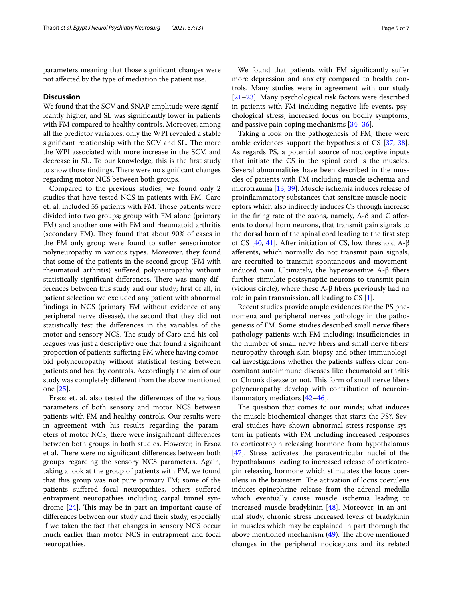parameters meaning that those signifcant changes were not afected by the type of mediation the patient use.

#### **Discussion**

We found that the SCV and SNAP amplitude were significantly higher, and SL was signifcantly lower in patients with FM compared to healthy controls. Moreover, among all the predictor variables, only the WPI revealed a stable significant relationship with the SCV and SL. The more the WPI associated with more increase in the SCV, and decrease in SL. To our knowledge, this is the frst study to show those findings. There were no significant changes regarding motor NCS between both groups.

Compared to the previous studies, we found only 2 studies that have tested NCS in patients with FM. Caro et. al. included 55 patients with FM. Those patients were divided into two groups; group with FM alone (primary FM) and another one with FM and rheumatoid arthritis (secondary FM). They found that about 90% of cases in the FM only group were found to sufer sensorimotor polyneuropathy in various types. Moreover, they found that some of the patients in the second group (FM with rheumatoid arthritis) sufered polyneuropathy without statistically significant differences. There was many differences between this study and our study; frst of all, in patient selection we excluded any patient with abnormal fndings in NCS (primary FM without evidence of any peripheral nerve disease), the second that they did not statistically test the diferences in the variables of the motor and sensory NCS. The study of Caro and his colleagues was just a descriptive one that found a signifcant proportion of patients sufering FM where having comorbid polyneuropathy without statistical testing between patients and healthy controls. Accordingly the aim of our study was completely diferent from the above mentioned one [\[25](#page-6-8)].

Ersoz et. al. also tested the diferences of the various parameters of both sensory and motor NCS between patients with FM and healthy controls. Our results were in agreement with his results regarding the parameters of motor NCS, there were insignifcant diferences between both groups in both studies. However, in Ersoz et al. There were no significant differences between both groups regarding the sensory NCS parameters. Again, taking a look at the group of patients with FM, we found that this group was not pure primary FM; some of the patients sufered focal neuropathies, others sufered entrapment neuropathies including carpal tunnel syndrome  $[24]$  $[24]$ . This may be in part an important cause of diferences between our study and their study, especially if we taken the fact that changes in sensory NCS occur much earlier than motor NCS in entrapment and focal neuropathies.

We found that patients with FM signifcantly sufer more depression and anxiety compared to health controls. Many studies were in agreement with our study [[21–](#page-6-5)[23\]](#page-6-6). Many psychological risk factors were described in patients with FM including negative life events, psychological stress, increased focus on bodily symptoms, and passive pain coping mechanisms [\[34](#page-6-17)[–36\]](#page-6-18).

Taking a look on the pathogenesis of FM, there were amble evidences support the hypothesis of CS [[37](#page-6-19), [38](#page-6-20)]. As regards PS, a potential source of nociceptive inputs that initiate the CS in the spinal cord is the muscles. Several abnormalities have been described in the muscles of patients with FM including muscle ischemia and microtrauma [[13,](#page-6-0) [39](#page-6-21)]. Muscle ischemia induces release of proinfammatory substances that sensitize muscle nociceptors which also indirectly induces CS through increase in the firing rate of the axons, namely,  $A-\delta$  and C afferents to dorsal horn neurons, that transmit pain signals to the dorsal horn of the spinal cord leading to the frst step of CS [\[40](#page-6-22), [41\]](#page-6-23). After initiation of CS, low threshold A-β aferents, which normally do not transmit pain signals, are recruited to transmit spontaneous and movementinduced pain. Ultimately, the hypersensitive  $A$ -β fibers further stimulate postsynaptic neurons to transmit pain (vicious circle), where these A-β fbers previously had no role in pain transmission, all leading to  $CS[1]$  $CS[1]$  $CS[1]$ .

Recent studies provide ample evidences for the PS phenomena and peripheral nerves pathology in the pathogenesis of FM. Some studies described small nerve fbers pathology patients with FM including; insufficiencies in the number of small nerve fbers and small nerve fbers' neuropathy through skin biopsy and other immunological investigations whether the patients sufers clear concomitant autoimmune diseases like rheumatoid arthritis or Chron's disease or not. This form of small nerve fibers polyneuropathy develop with contribution of neuroinfammatory mediators [\[42](#page-6-24)–[46\]](#page-6-25).

The question that comes to our minds; what induces the muscle biochemical changes that starts the PS?. Several studies have shown abnormal stress-response system in patients with FM including increased responses to corticotropin releasing hormone from hypothalamus [[47\]](#page-6-26). Stress activates the paraventricular nuclei of the hypothalamus leading to increased release of corticotropin releasing hormone which stimulates the locus coeruleus in the brainstem. The activation of locus coeruleus induces epinephrine release from the adrenal medulla which eventually cause muscle ischemia leading to increased muscle bradykinin [[48\]](#page-6-27). Moreover, in an animal study, chronic stress increased levels of bradykinin in muscles which may be explained in part thorough the above mentioned mechanism  $(49)$  $(49)$  $(49)$ . The above mentioned changes in the peripheral nociceptors and its related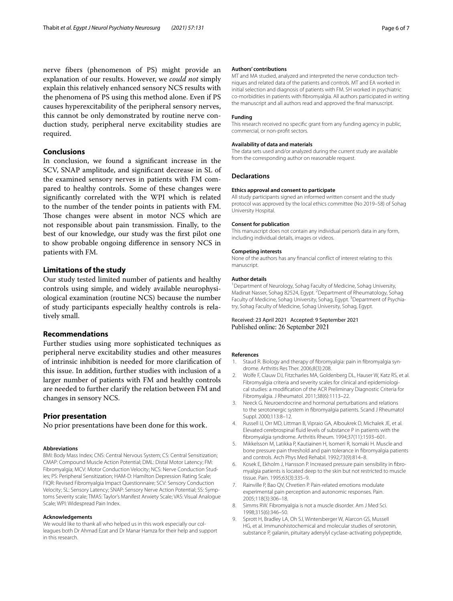nerve fbers (phenomenon of PS) might provide an explanation of our results. However, we *could not* simply explain this relatively enhanced sensory NCS results with the phenomena of PS using this method alone. Even if PS causes hyperexcitability of the peripheral sensory nerves, this cannot be only demonstrated by routine nerve conduction study, peripheral nerve excitability studies are required.

### **Conclusions**

In conclusion, we found a signifcant increase in the SCV, SNAP amplitude, and signifcant decrease in SL of the examined sensory nerves in patients with FM compared to healthy controls. Some of these changes were signifcantly correlated with the WPI which is related to the number of the tender points in patients with FM. Those changes were absent in motor NCS which are not responsible about pain transmission. Finally, to the best of our knowledge, our study was the frst pilot one to show probable ongoing diference in sensory NCS in patients with FM.

#### **Limitations of the study**

Our study tested limited number of patients and healthy controls using simple, and widely available neurophysiological examination (routine NCS) because the number of study participants especially healthy controls is relatively small.

#### **Recommendations**

Further studies using more sophisticated techniques as peripheral nerve excitability studies and other measures of intrinsic inhibition is needed for more clarifcation of this issue. In addition, further studies with inclusion of a larger number of patients with FM and healthy controls are needed to further clarify the relation between FM and changes in sensory NCS.

#### **Prior presentation**

No prior presentations have been done for this work.

#### **Abbreviations**

BMI: Body Mass Index; CNS: Central Nervous System; CS: Central Sensitization; CMAP: Compound Muscle Action Potential; DML: Distal Motor Latency; FM: Fibromyalgia; MCV: Motor Conduction Velocity; NCS: Nerve Conduction Studies; PS: Peripheral Sensitization; HAM-D: Hamilton Depression Rating Scale; FIQR: Revised Fibromyalgia Impact Questionnaire; SCV: Sensory Conduction Velocity; SL: Sensory Latency; SNAP: Sensory Nerve Action Potential; SS: Symptoms Severity scale; TMAS: Taylor's Manifest Anxiety Scale; VAS: Visual Analogue Scale; WPI: Widespread Pain Index.

#### **Acknowledgements**

We would like to thank all who helped us in this work especially our colleagues both Dr Ahmad Ezat and Dr Manar Hamza for their help and support in this research.

#### **Authors' contributions**

MT and MA studied, analyzed and interpreted the nerve conduction techniques and related data of the patients and controls. MT and EA worked in initial selection and diagnosis of patients with FM. SH worked in psychiatric co-morbidities in patients with fbromyalgia. All authors participated in writing the manuscript and all authors read and approved the fnal manuscript.

#### **Funding**

This research received no specifc grant from any funding agency in public, commercial, or non-proft sectors.

#### **Availability of data and materials**

The data sets used and/or analyzed during the current study are available from the corresponding author on reasonable request.

#### **Declarations**

#### **Ethics approval and consent to participate**

All study participants signed an informed written consent and the study protocol was approved by the local ethics committee (No 2019–58) of Sohag University Hospital.

#### **Consent for publication**

This manuscript does not contain any individual person's data in any form, including individual details, images or videos.

#### **Competing interests**

None of the authors has any fnancial confict of interest relating to this manuscript.

#### **Author details**

<sup>1</sup> Department of Neurology, Sohag Faculty of Medicine, Sohag University, Madinat Nasser, Sohag 82524, Egypt. <sup>2</sup> Department of Rheumatology, Sohag Faculty of Medicine, Sohag University, Sohag, Egypt. <sup>3</sup> Department of Psychiatry, Sohag Faculty of Medicine, Sohag University, Sohag, Egypt.

# Received: 23 April 2021 Accepted: 9 September 2021

#### **References**

- <span id="page-5-0"></span>1. Staud R. Biology and therapy of fbromyalgia: pain in fbromyalgia syndrome. Arthritis Res Ther. 2006;8(3):208.
- <span id="page-5-1"></span>2. Wolfe F, Clauw DJ, Fitzcharles MA, Goldenberg DL, Hauser W, Katz RS, et al. Fibromyalgia criteria and severity scales for clinical and epidemiological studies: a modifcation of the ACR Preliminary Diagnostic Criteria for Fibromyalgia. J Rheumatol. 2011;38(6):1113–22.
- <span id="page-5-2"></span>3. Neeck G. Neuroendocrine and hormonal perturbations and relations to the serotonergic system in fbromyalgia patients. Scand J Rheumatol Suppl. 2000;113:8–12.
- <span id="page-5-3"></span>4. Russell IJ, Orr MD, Littman B, Vipraio GA, Alboukrek D, Michalek JE, et al. Elevated cerebrospinal fuid levels of substance P in patients with the fbromyalgia syndrome. Arthritis Rheum. 1994;37(11):1593–601.
- <span id="page-5-4"></span>5. Mikkelsson M, Latikka P, Kautiainen H, Isomeri R, Isomaki H. Muscle and bone pressure pain threshold and pain tolerance in fbromyalgia patients and controls. Arch Phys Med Rehabil. 1992;73(9):814–8.
- <span id="page-5-5"></span>6. Kosek E, Ekholm J, Hansson P. Increased pressure pain sensibility in fbromyalgia patients is located deep to the skin but not restricted to muscle tissue. Pain. 1995;63(3):335–9.
- <span id="page-5-6"></span>7. Rainville P, Bao QV, Chretien P. Pain-related emotions modulate experimental pain perception and autonomic responses. Pain. 2005;118(3):306–18.
- <span id="page-5-7"></span>8. Simms RW. Fibromyalgia is not a muscle disorder. Am J Med Sci. 1998;315(6):346–50.
- <span id="page-5-8"></span>9. Sprott H, Bradley LA, Oh SJ, Wintersberger W, Alarcon GS, Mussell HG, et al. Immunohistochemical and molecular studies of serotonin, substance P, galanin, pituitary adenylyl cyclase-activating polypeptide,